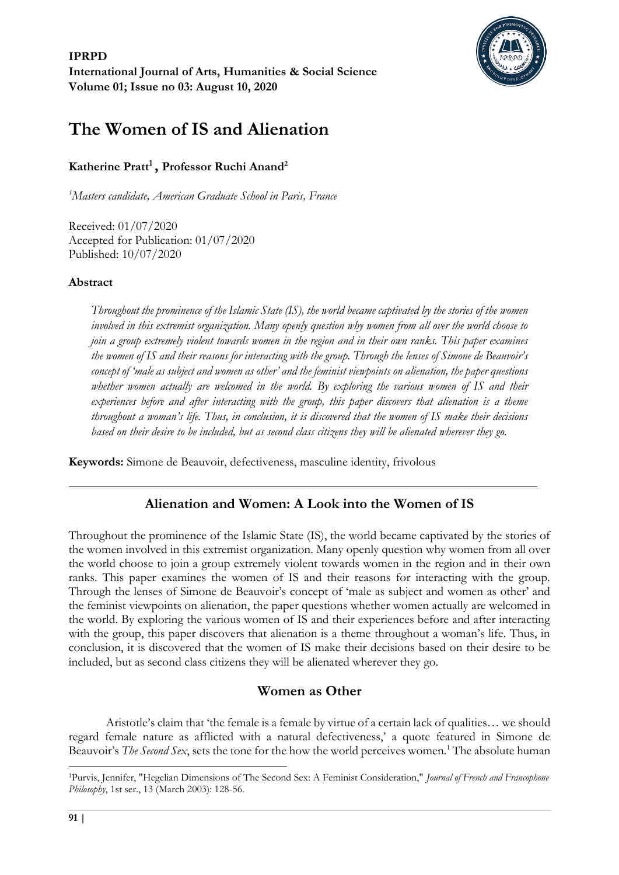

# **The Women of IS and Alienation**

# **Katherine Pratt<sup>1</sup> , Professor Ruchi Anand<sup>2</sup>**

*<sup>1</sup>Masters candidate, American Graduate School in Paris, France*

Received: 01/07/2020 Accepted for Publication: 01/07/2020 Published: 10/07/2020

#### **Abstract**

*Throughout the prominence of the Islamic State (IS), the world became captivated by the stories of the women involved in this extremist organization. Many openly question why women from all over the world choose to join a group extremely violent towards women in the region and in their own ranks. This paper examines the women of IS and their reasons for interacting with the group. Through the lenses of Simone de Beauvoir's concept of 'male as subject and women as other' and the feminist viewpoints on alienation, the paper questions whether women actually are welcomed in the world. By exploring the various women of IS and their experiences before and after interacting with the group, this paper discovers that alienation is a theme throughout a woman's life. Thus, in conclusion, it is discovered that the women of IS make their decisions based on their desire to be included, but as second class citizens they will be alienated wherever they go.*

**Keywords:** Simone de Beauvoir, defectiveness, masculine identity, frivolous

# **Alienation and Women: A Look into the Women of IS**

Throughout the prominence of the Islamic State (IS), the world became captivated by the stories of the women involved in this extremist organization. Many openly question why women from all over the world choose to join a group extremely violent towards women in the region and in their own ranks. This paper examines the women of IS and their reasons for interacting with the group. Through the lenses of Simone de Beauvoir's concept of 'male as subject and women as other' and the feminist viewpoints on alienation, the paper questions whether women actually are welcomed in the world. By exploring the various women of IS and their experiences before and after interacting with the group, this paper discovers that alienation is a theme throughout a woman's life. Thus, in conclusion, it is discovered that the women of IS make their decisions based on their desire to be included, but as second class citizens they will be alienated wherever they go.

# **Women as Other**

Aristotle's claim that 'the female is a female by virtue of a certain lack of qualities… we should regard female nature as afflicted with a natural defectiveness,' a quote featured in Simone de Beauvoir's *The Second Sex*, sets the tone for the how the world perceives women.<sup>1</sup> The absolute human

<sup>1</sup>Purvis, Jennifer, "Hegelian Dimensions of The Second Sex: A Feminist Consideration," *Journal of French and Francophone Philosophy*, 1st ser., 13 (March 2003): 128-56.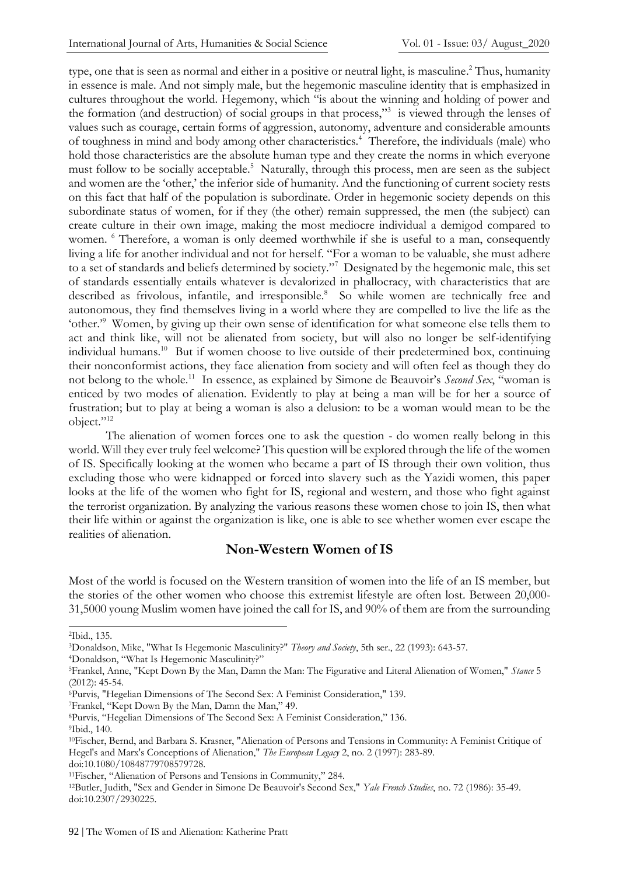type, one that is seen as normal and either in a positive or neutral light, is masculine. <sup>2</sup> Thus, humanity in essence is male. And not simply male, but the hegemonic masculine identity that is emphasized in cultures throughout the world. Hegemony, which "is about the winning and holding of power and the formation (and destruction) of social groups in that process,"<sup>3</sup> is viewed through the lenses of values such as courage, certain forms of aggression, autonomy, adventure and considerable amounts of toughness in mind and body among other characteristics.<sup>4</sup> Therefore, the individuals (male) who hold those characteristics are the absolute human type and they create the norms in which everyone must follow to be socially acceptable.<sup>5</sup> Naturally, through this process, men are seen as the subject and women are the 'other,' the inferior side of humanity. And the functioning of current society rests on this fact that half of the population is subordinate. Order in hegemonic society depends on this subordinate status of women, for if they (the other) remain suppressed, the men (the subject) can create culture in their own image, making the most mediocre individual a demigod compared to women. <sup>6</sup> Therefore, a woman is only deemed worthwhile if she is useful to a man, consequently living a life for another individual and not for herself. "For a woman to be valuable, she must adhere to a set of standards and beliefs determined by society."<sup>7</sup> Designated by the hegemonic male, this set of standards essentially entails whatever is devalorized in phallocracy, with characteristics that are described as frivolous, infantile, and irresponsible.<sup>8</sup> So while women are technically free and autonomous, they find themselves living in a world where they are compelled to live the life as the 'other.'<sup>9</sup> Women, by giving up their own sense of identification for what someone else tells them to act and think like, will not be alienated from society, but will also no longer be self-identifying individual humans.<sup>10</sup> But if women choose to live outside of their predetermined box, continuing their nonconformist actions, they face alienation from society and will often feel as though they do not belong to the whole.<sup>11</sup> In essence, as explained by Simone de Beauvoir's *Second Sex*, "woman is enticed by two modes of alienation. Evidently to play at being a man will be for her a source of frustration; but to play at being a woman is also a delusion: to be a woman would mean to be the object."<sup>12</sup>

The alienation of women forces one to ask the question - do women really belong in this world. Will they ever truly feel welcome? This question will be explored through the life of the women of IS. Specifically looking at the women who became a part of IS through their own volition, thus excluding those who were kidnapped or forced into slavery such as the Yazidi women, this paper looks at the life of the women who fight for IS, regional and western, and those who fight against the terrorist organization. By analyzing the various reasons these women chose to join IS, then what their life within or against the organization is like, one is able to see whether women ever escape the realities of alienation.

### **Non-Western Women of IS**

Most of the world is focused on the Western transition of women into the life of an IS member, but the stories of the other women who choose this extremist lifestyle are often lost. Between 20,000- 31,5000 young Muslim women have joined the call for IS, and 90% of them are from the surrounding

<sup>4</sup>Donaldson, "What Is Hegemonic Masculinity?"

<sup>7</sup>Frankel, "Kept Down By the Man, Damn the Man," 49.

<sup>2</sup>Ibid., 135.

<sup>3</sup>Donaldson, Mike, "What Is Hegemonic Masculinity?" *Theory and Society*, 5th ser., 22 (1993): 643-57.

<sup>5</sup>Frankel, Anne, "Kept Down By the Man, Damn the Man: The Figurative and Literal Alienation of Women," *Stance* 5 (2012): 45-54.

<sup>6</sup>Purvis, "Hegelian Dimensions of The Second Sex: A Feminist Consideration," 139.

<sup>8</sup>Purvis, "Hegelian Dimensions of The Second Sex: A Feminist Consideration," 136. <sup>9</sup>Ibid., 140.

<sup>10</sup>Fischer, Bernd, and Barbara S. Krasner, "Alienation of Persons and Tensions in Community: A Feminist Critique of Hegel's and Marx's Conceptions of Alienation," *The European Legacy* 2, no. 2 (1997): 283-89. doi:10.1080/10848779708579728.

<sup>11</sup>Fischer, "Alienation of Persons and Tensions in Community," 284.

<sup>12</sup>Butler, Judith, "Sex and Gender in Simone De Beauvoir's Second Sex," *Yale French Studies*, no. 72 (1986): 35-49. doi:10.2307/2930225.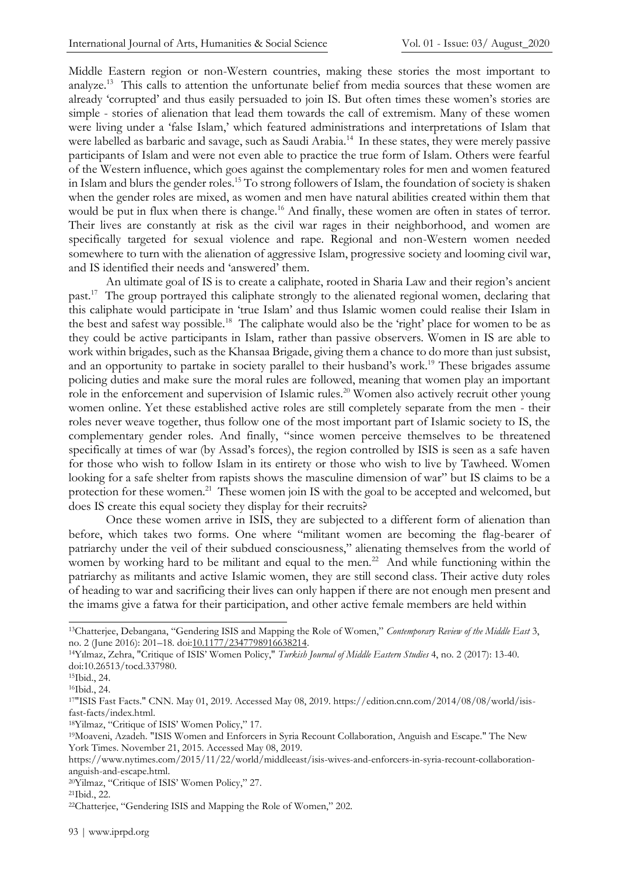Middle Eastern region or non-Western countries, making these stories the most important to analyze.<sup>13</sup> This calls to attention the unfortunate belief from media sources that these women are already 'corrupted' and thus easily persuaded to join IS. But often times these women's stories are simple - stories of alienation that lead them towards the call of extremism. Many of these women were living under a 'false Islam,' which featured administrations and interpretations of Islam that were labelled as barbaric and savage, such as Saudi Arabia.<sup>14</sup> In these states, they were merely passive participants of Islam and were not even able to practice the true form of Islam. Others were fearful of the Western influence, which goes against the complementary roles for men and women featured in Islam and blurs the gender roles.<sup>15</sup> To strong followers of Islam, the foundation of society is shaken when the gender roles are mixed, as women and men have natural abilities created within them that would be put in flux when there is change.<sup>16</sup> And finally, these women are often in states of terror. Their lives are constantly at risk as the civil war rages in their neighborhood, and women are specifically targeted for sexual violence and rape. Regional and non-Western women needed somewhere to turn with the alienation of aggressive Islam, progressive society and looming civil war, and IS identified their needs and 'answered' them.

An ultimate goal of IS is to create a caliphate, rooted in Sharia Law and their region's ancient past.<sup>17</sup> The group portrayed this caliphate strongly to the alienated regional women, declaring that this caliphate would participate in 'true Islam' and thus Islamic women could realise their Islam in the best and safest way possible.<sup>18</sup> The caliphate would also be the 'right' place for women to be as they could be active participants in Islam, rather than passive observers. Women in IS are able to work within brigades, such as the Khansaa Brigade, giving them a chance to do more than just subsist, and an opportunity to partake in society parallel to their husband's work.<sup>19</sup> These brigades assume policing duties and make sure the moral rules are followed, meaning that women play an important role in the enforcement and supervision of Islamic rules.<sup>20</sup> Women also actively recruit other young women online. Yet these established active roles are still completely separate from the men - their roles never weave together, thus follow one of the most important part of Islamic society to IS, the complementary gender roles. And finally, "since women perceive themselves to be threatened specifically at times of war (by Assad's forces), the region controlled by ISIS is seen as a safe haven for those who wish to follow Islam in its entirety or those who wish to live by Tawheed. Women looking for a safe shelter from rapists shows the masculine dimension of war" but IS claims to be a protection for these women.<sup>21</sup> These women join IS with the goal to be accepted and welcomed, but does IS create this equal society they display for their recruits?

Once these women arrive in ISIS, they are subjected to a different form of alienation than before, which takes two forms. One where "militant women are becoming the flag-bearer of patriarchy under the veil of their subdued consciousness," alienating themselves from the world of women by working hard to be militant and equal to the men.<sup>22</sup> And while functioning within the patriarchy as militants and active Islamic women, they are still second class. Their active duty roles of heading to war and sacrificing their lives can only happen if there are not enough men present and the imams give a fatwa for their participation, and other active female members are held within

<sup>18</sup>Yilmaz, "Critique of ISIS' Women Policy," 17.

<sup>13</sup>Chatterjee, Debangana, "Gendering ISIS and Mapping the Role of Women," *Contemporary Review of the Middle East* 3, no. 2 (June 2016): 201–18. doi[:10.1177/2347798916638214.](https://doi-org.arcadia.idm.oclc.org/10.1177/2347798916638214)

<sup>14</sup>Yılmaz, Zehra, "Critique of ISIS' Women Policy," *Turkish Journal of Middle Eastern Studies* 4, no. 2 (2017): 13-40. doi:10.26513/tocd.337980.

<sup>15</sup>Ibid., 24.

<sup>16</sup>Ibid., 24.

<sup>17</sup>"ISIS Fast Facts." CNN. May 01, 2019. Accessed May 08, 2019. https://edition.cnn.com/2014/08/08/world/isisfast-facts/index.html.

<sup>19</sup>Moaveni, Azadeh. "ISIS Women and Enforcers in Syria Recount Collaboration, Anguish and Escape." The New York Times. November 21, 2015. Accessed May 08, 2019.

https://www.nytimes.com/2015/11/22/world/middleeast/isis-wives-and-enforcers-in-syria-recount-collaborationanguish-and-escape.html.

<sup>20</sup>Yilmaz, "Critique of ISIS' Women Policy," 27.

<sup>21</sup>Ibid., 22.

<sup>22</sup>Chatterjee, "Gendering ISIS and Mapping the Role of Women," 202.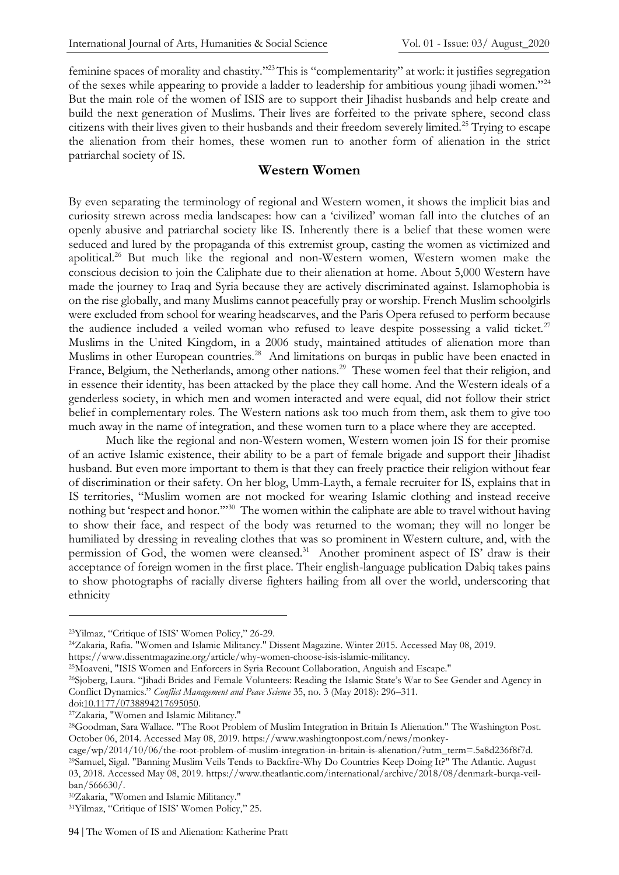feminine spaces of morality and chastity."<sup>23</sup>This is "complementarity" at work: it justifies segregation of the sexes while appearing to provide a ladder to leadership for ambitious young jihadi women."<sup>24</sup> But the main role of the women of ISIS are to support their Jihadist husbands and help create and build the next generation of Muslims. Their lives are forfeited to the private sphere, second class citizens with their lives given to their husbands and their freedom severely limited.<sup>25</sup> Trying to escape the alienation from their homes, these women run to another form of alienation in the strict patriarchal society of IS.

#### **Western Women**

By even separating the terminology of regional and Western women, it shows the implicit bias and curiosity strewn across media landscapes: how can a 'civilized' woman fall into the clutches of an openly abusive and patriarchal society like IS. Inherently there is a belief that these women were seduced and lured by the propaganda of this extremist group, casting the women as victimized and apolitical.<sup>26</sup> But much like the regional and non-Western women, Western women make the conscious decision to join the Caliphate due to their alienation at home. About 5,000 Western have made the journey to Iraq and Syria because they are actively discriminated against. Islamophobia is on the rise globally, and many Muslims cannot peacefully pray or worship. French Muslim schoolgirls were excluded from school for wearing headscarves, and the Paris Opera refused to perform because the audience included a veiled woman who refused to leave despite possessing a valid ticket.<sup>27</sup> Muslims in the United Kingdom, in a 2006 study, maintained attitudes of alienation more than Muslims in other European countries.<sup>28</sup> And limitations on burqas in public have been enacted in France, Belgium, the Netherlands, among other nations.<sup>29</sup> These women feel that their religion, and in essence their identity, has been attacked by the place they call home. And the Western ideals of a genderless society, in which men and women interacted and were equal, did not follow their strict belief in complementary roles. The Western nations ask too much from them, ask them to give too much away in the name of integration, and these women turn to a place where they are accepted.

Much like the regional and non-Western women, Western women join IS for their promise of an active Islamic existence, their ability to be a part of female brigade and support their Jihadist husband. But even more important to them is that they can freely practice their religion without fear of discrimination or their safety. On her blog, Umm-Layth, a female recruiter for IS, explains that in IS territories, "Muslim women are not mocked for wearing Islamic clothing and instead receive nothing but 'respect and honor."<sup>30</sup> The women within the caliphate are able to travel without having to show their face, and respect of the body was returned to the woman; they will no longer be humiliated by dressing in revealing clothes that was so prominent in Western culture, and, with the permission of God, the women were cleansed.<sup>31</sup> Another prominent aspect of IS' draw is their acceptance of foreign women in the first place. Their english-language publication Dabiq takes pains to show photographs of racially diverse fighters hailing from all over the world, underscoring that ethnicity

<sup>24</sup>Zakaria, Rafia. "Women and Islamic Militancy." Dissent Magazine. Winter 2015. Accessed May 08, 2019. https://www.dissentmagazine.org/article/why-women-choose-isis-islamic-militancy.

<sup>25</sup>Moaveni, "ISIS Women and Enforcers in Syria Recount Collaboration, Anguish and Escape."

<sup>26</sup>Sjoberg, Laura. "Jihadi Brides and Female Volunteers: Reading the Islamic State's War to See Gender and Agency in Conflict Dynamics." *Conflict Management and Peace Science* 35, no. 3 (May 2018): 296–311.

do[i:10.1177/0738894217695050.](https://doi-org.arcadia.idm.oclc.org/10.1177/0738894217695050)

<sup>27</sup>Zakaria, "Women and Islamic Militancy."

cage/wp/2014/10/06/the-root-problem-of-muslim-integration-in-britain-is-alienation/?utm\_term=.5a8d236f8f7d.

<sup>23</sup>Yilmaz, "Critique of ISIS' Women Policy," 26-29.

<sup>28</sup>Goodman, Sara Wallace. "The Root Problem of Muslim Integration in Britain Is Alienation." The Washington Post. October 06, 2014. Accessed May 08, 2019. https://www.washingtonpost.com/news/monkey-

<sup>29</sup>Samuel, Sigal. "Banning Muslim Veils Tends to Backfire-Why Do Countries Keep Doing It?" The Atlantic. August 03, 2018. Accessed May 08, 2019. https://www.theatlantic.com/international/archive/2018/08/denmark-burqa-veilban/566630/.

<sup>30</sup>Zakaria, "Women and Islamic Militancy."

<sup>31</sup>Yilmaz, "Critique of ISIS' Women Policy," 25.

<sup>94</sup> | The Women of IS and Alienation: Katherine Pratt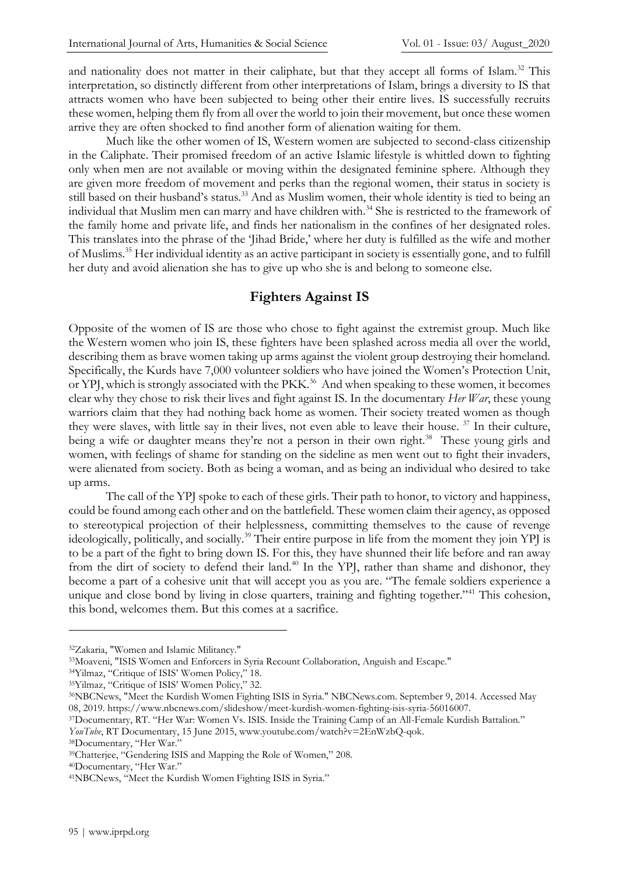and nationality does not matter in their caliphate, but that they accept all forms of Islam.<sup>32</sup> This interpretation, so distinctly different from other interpretations of Islam, brings a diversity to IS that attracts women who have been subjected to being other their entire lives. IS successfully recruits these women, helping them fly from all over the world to join their movement, but once these women arrive they are often shocked to find another form of alienation waiting for them.

Much like the other women of IS, Western women are subjected to second-class citizenship in the Caliphate. Their promised freedom of an active Islamic lifestyle is whittled down to fighting only when men are not available or moving within the designated feminine sphere. Although they are given more freedom of movement and perks than the regional women, their status in society is still based on their husband's status.<sup>33</sup> And as Muslim women, their whole identity is tied to being an individual that Muslim men can marry and have children with.<sup>34</sup> She is restricted to the framework of the family home and private life, and finds her nationalism in the confines of her designated roles. This translates into the phrase of the 'Jihad Bride,' where her duty is fulfilled as the wife and mother of Muslims.<sup>35</sup> Her individual identity as an active participant in society is essentially gone, and to fulfill her duty and avoid alienation she has to give up who she is and belong to someone else.

### **Fighters Against IS**

Opposite of the women of IS are those who chose to fight against the extremist group. Much like the Western women who join IS, these fighters have been splashed across media all over the world, describing them as brave women taking up arms against the violent group destroying their homeland. Specifically, the Kurds have 7,000 volunteer soldiers who have joined the Women's Protection Unit, or YPJ, which is strongly associated with the PKK.<sup>36</sup> And when speaking to these women, it becomes clear why they chose to risk their lives and fight against IS. In the documentary *Her War*, these young warriors claim that they had nothing back home as women. Their society treated women as though they were slaves, with little say in their lives, not even able to leave their house. <sup>37</sup> In their culture, being a wife or daughter means they're not a person in their own right.<sup>38</sup> These young girls and women, with feelings of shame for standing on the sideline as men went out to fight their invaders, were alienated from society. Both as being a woman, and as being an individual who desired to take up arms.

The call of the YPJ spoke to each of these girls. Their path to honor, to victory and happiness, could be found among each other and on the battlefield. These women claim their agency, as opposed to stereotypical projection of their helplessness, committing themselves to the cause of revenge ideologically, politically, and socially.<sup>39</sup> Their entire purpose in life from the moment they join YPJ is to be a part of the fight to bring down IS. For this, they have shunned their life before and ran away from the dirt of society to defend their land.<sup>40</sup> In the YPJ, rather than shame and dishonor, they become a part of a cohesive unit that will accept you as you are. "The female soldiers experience a unique and close bond by living in close quarters, training and fighting together."<sup>41</sup> This cohesion, this bond, welcomes them. But this comes at a sacrifice.

<sup>40</sup>Documentary, "Her War."

<sup>32</sup>Zakaria, "Women and Islamic Militancy."

<sup>33</sup>Moaveni, "ISIS Women and Enforcers in Syria Recount Collaboration, Anguish and Escape."

<sup>34</sup>Yilmaz, "Critique of ISIS' Women Policy," 18.

<sup>35</sup>Yilmaz, "Critique of ISIS' Women Policy," 32.

<sup>36</sup>NBCNews, "Meet the Kurdish Women Fighting ISIS in Syria." NBCNews.com. September 9, 2014. Accessed May 08, 2019. https://www.nbcnews.com/slideshow/meet-kurdish-women-fighting-isis-syria-56016007.

<sup>37</sup>Documentary, RT. "Her War: Women Vs. ISIS. Inside the Training Camp of an All-Female Kurdish Battalion." *YouTube*, RT Documentary, 15 June 2015, www.youtube.com/watch?v=2EnWzbQ-qok.

<sup>38</sup>Documentary, "Her War."

<sup>39</sup>Chatterjee, "Gendering ISIS and Mapping the Role of Women," 208.

<sup>41</sup>NBCNews, "Meet the Kurdish Women Fighting ISIS in Syria."